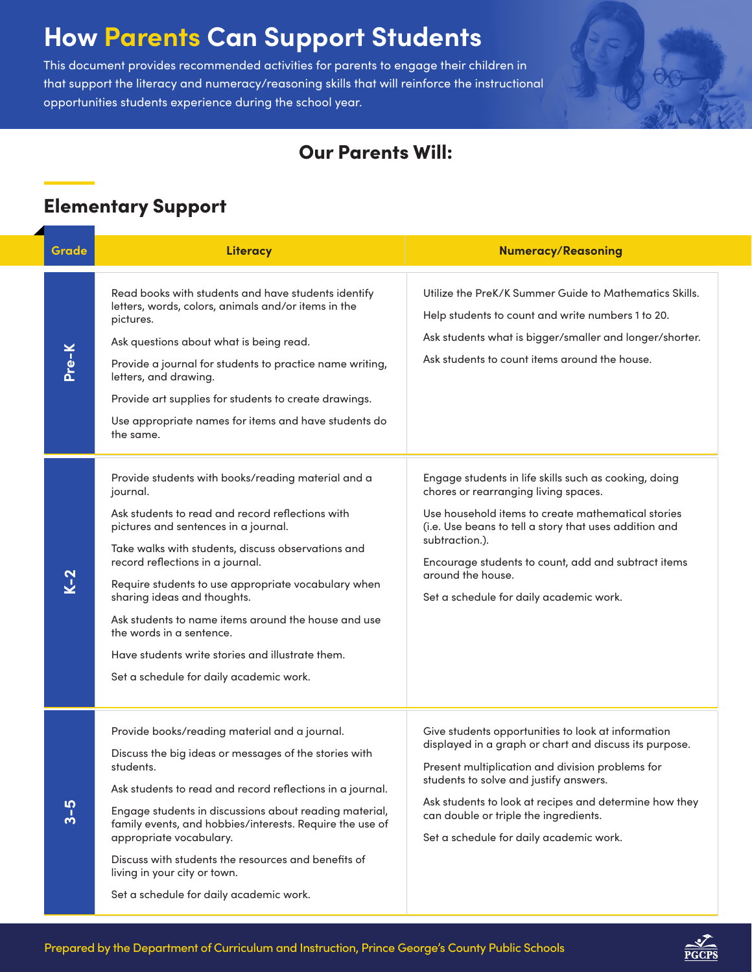# **How Parents Can Support Students**

This document provides recommended activities for parents to engage their children in that support the literacy and numeracy/reasoning skills that will reinforce the instructional opportunities students experience during the school year.



### Our Parents Will:

## Elementary Support

| Grade   | <b>Literacy</b>                                                                                                                                                                                                                                                                                                                                                                                                                                                                                                              | <b>Numeracy/Reasoning</b>                                                                                                                                                                                                                                                                                                                                |
|---------|------------------------------------------------------------------------------------------------------------------------------------------------------------------------------------------------------------------------------------------------------------------------------------------------------------------------------------------------------------------------------------------------------------------------------------------------------------------------------------------------------------------------------|----------------------------------------------------------------------------------------------------------------------------------------------------------------------------------------------------------------------------------------------------------------------------------------------------------------------------------------------------------|
| Pre-K   | Read books with students and have students identify<br>letters, words, colors, animals and/or items in the<br>pictures.<br>Ask questions about what is being read.<br>Provide a journal for students to practice name writing,<br>letters, and drawing.<br>Provide art supplies for students to create drawings.<br>Use appropriate names for items and have students do<br>the same.                                                                                                                                        | Utilize the PreK/K Summer Guide to Mathematics Skills.<br>Help students to count and write numbers 1 to 20.<br>Ask students what is bigger/smaller and longer/shorter.<br>Ask students to count items around the house.                                                                                                                                  |
| $K-2$   | Provide students with books/reading material and a<br>journal.<br>Ask students to read and record reflections with<br>pictures and sentences in a journal.<br>Take walks with students, discuss observations and<br>record reflections in a journal.<br>Require students to use appropriate vocabulary when<br>sharing ideas and thoughts.<br>Ask students to name items around the house and use<br>the words in a sentence.<br>Have students write stories and illustrate them.<br>Set a schedule for daily academic work. | Engage students in life skills such as cooking, doing<br>chores or rearranging living spaces.<br>Use household items to create mathematical stories<br>(i.e. Use beans to tell a story that uses addition and<br>subtraction.).<br>Encourage students to count, add and subtract items<br>around the house.<br>Set a schedule for daily academic work.   |
| $3 - 5$ | Provide books/reading material and a journal.<br>Discuss the big ideas or messages of the stories with<br>students.<br>Ask students to read and record reflections in a journal.<br>Engage students in discussions about reading material,<br>family events, and hobbies/interests. Require the use of<br>appropriate vocabulary.<br>Discuss with students the resources and benefits of<br>living in your city or town.<br>Set a schedule for daily academic work.                                                          | Give students opportunities to look at information<br>displayed in a graph or chart and discuss its purpose.<br>Present multiplication and division problems for<br>students to solve and justify answers.<br>Ask students to look at recipes and determine how they<br>can double or triple the ingredients.<br>Set a schedule for daily academic work. |